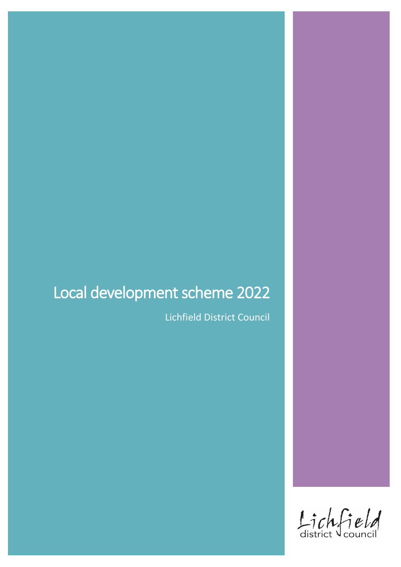# Local development scheme 2022

Lichfield District Council

Lichfield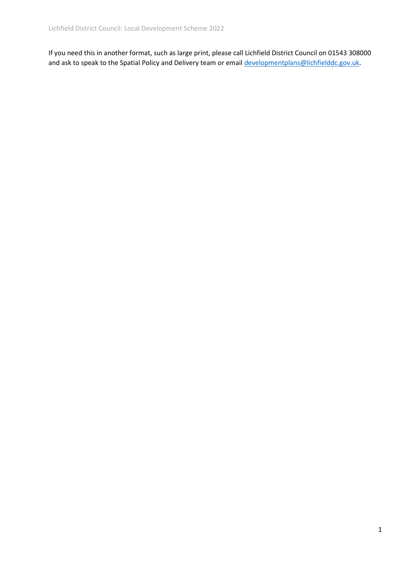If you need this in another format, such as large print, please call Lichfield District Council on 01543 308000 and ask to speak to the Spatial Policy and Delivery team or emai[l developmentplans@lichfielddc.gov.uk.](mailto:developmentplans@lichfielddc.gov.uk)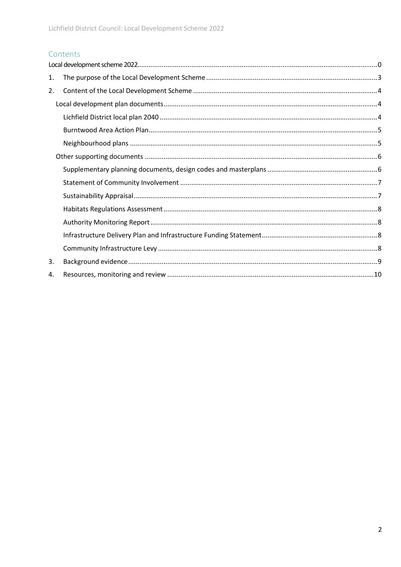### Contents

| 1. |  |
|----|--|
| 2. |  |
|    |  |
|    |  |
|    |  |
|    |  |
|    |  |
|    |  |
|    |  |
|    |  |
|    |  |
|    |  |
|    |  |
|    |  |
| 3. |  |
| 4. |  |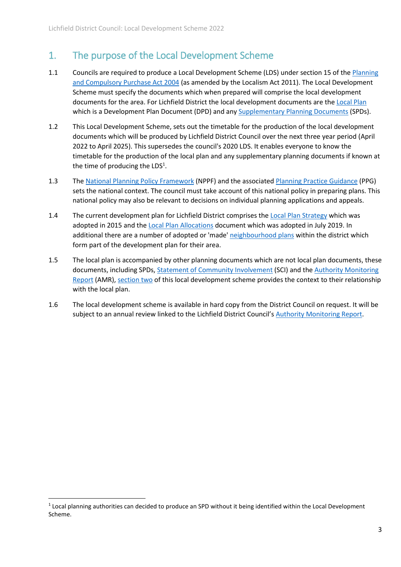### <span id="page-3-0"></span>1. The purpose of the Local Development Scheme

- 1.1 Councils are required to produce a Local Development Scheme (LDS) under section 15 of the Planning [and Compulsory Purchase Act 2004](https://www.legislation.gov.uk/ukpga/2004/5/contents) (as amended by the Localism Act 2011). The Local Development Scheme must specify the documents which when prepared will comprise the local development documents for the area. For Lichfield District the local development documents are th[e Local Plan](https://www.lichfielddc.gov.uk/local-plan/adopted-local-plan) which is a Development Plan Document (DPD) and any [Supplementary Planning Documents](https://www.lichfielddc.gov.uk/planning-policy/supplementary-planning-documents-2/1) (SPDs).
- 1.2 This Local Development Scheme, sets out the timetable for the production of the local development documents which will be produced by Lichfield District Council over the next three year period (April 2022 to April 2025). This supersedes the council's 2020 LDS. It enables everyone to know the timetable for the production of the local plan and any supplementary planning documents if known at the time of producing the LDS $<sup>1</sup>$ .</sup>
- 1.3 The [National Planning Policy Framework](https://www.gov.uk/government/publications/national-planning-policy-framework--2) (NPPF) and the associate[d Planning Practice Guidance](https://www.gov.uk/government/collections/planning-practice-guidance) (PPG) sets the national context. The council must take account of this national policy in preparing plans. This national policy may also be relevant to decisions on individual planning applications and appeals.
- 1.4 The current development plan for Lichfield District comprises th[e Local Plan Strategy](https://www.lichfielddc.gov.uk/downloads/file/235/local-plan-strategy) which was adopted in 2015 and th[e Local Plan Allocations](https://www.lichfielddc.gov.uk/downloads/file/1228/local-plan-allocations-adopted) document which was adopted in July 2019. In additional there are a number of adopted or 'made' [neighbourhood plans](https://www.lichfielddc.gov.uk/neighbourhood-plans/adopted-neighbourhood-plans/1) within the district which form part of the development plan for their area.
- 1.5 The local plan is accompanied by other planning documents which are not local plan documents, these documents, including SPDs, [Statement of Community Involvement](https://www.lichfielddc.gov.uk/downloads/file/1666/statement-of-community-involvement-2020) (SCI) and the [Authority Monitoring](https://www.lichfielddc.gov.uk/downloads/download/194/authority-monitoring-report)  [Report](https://www.lichfielddc.gov.uk/downloads/download/194/authority-monitoring-report) (AMR)[, section](#page-4-0) two of this local development scheme provides the context to their relationship with the local plan.
- 1.6 The local development scheme is available in hard copy from the District Council on request. It will be subject to an annual review linked to the Lichfield District Council'[s Authority Monitoring Report.](https://www.lichfielddc.gov.uk/downloads/download/194/authority-monitoring-report)

**.** 

 $1$  Local planning authorities can decided to produce an SPD without it being identified within the Local Development Scheme.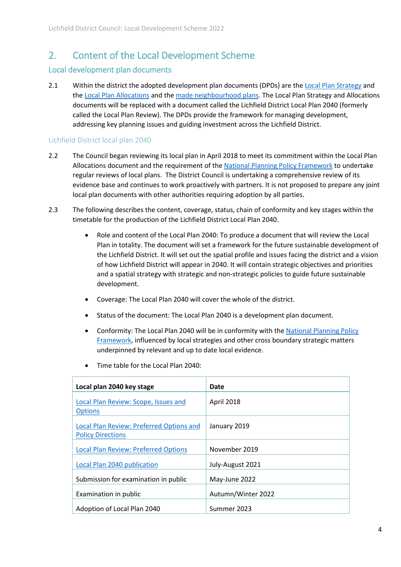### <span id="page-4-0"></span>2. Content of the Local Development Scheme

#### <span id="page-4-1"></span>Local development plan documents

2.1 Within the district the adopted development plan documents (DPDs) are th[e Local Plan Strategy](https://www.lichfielddc.gov.uk/downloads/file/235/local-plan-strategy) and th[e Local Plan Allocations](https://www.lichfielddc.gov.uk/downloads/file/1228/local-plan-allocations-adopted) and the [made neighbourhood plans.](https://www.lichfielddc.gov.uk/neighbourhood-plans/adopted-neighbourhood-plans/1) The Local Plan Strategy and Allocations documents will be replaced with a document called the Lichfield District Local Plan 2040 (formerly called the Local Plan Review). The DPDs provide the framework for managing development, addressing key planning issues and guiding investment across the Lichfield District.

#### <span id="page-4-2"></span>Lichfield District local plan 2040

- 2.2 The Council began reviewing its local plan in April 2018 to meet its commitment within the Local Plan Allocations document and the requirement of th[e National Planning Policy Framework](https://www.gov.uk/government/publications/national-planning-policy-framework--2) to undertake regular reviews of local plans. The District Council is undertaking a comprehensive review of its evidence base and continues to work proactively with partners. It is not proposed to prepare any joint local plan documents with other authorities requiring adoption by all parties.
- 2.3 The following describes the content, coverage, status, chain of conformity and key stages within the timetable for the production of the Lichfield District Local Plan 2040.
	- Role and content of the Local Plan 2040: To produce a document that will review the Local Plan in totality. The document will set a framework for the future sustainable development of the Lichfield District. It will set out the spatial profile and issues facing the district and a vision of how Lichfield District will appear in 2040. It will contain strategic objectives and priorities and a spatial strategy with strategic and non-strategic policies to guide future sustainable development.
	- Coverage: The Local Plan 2040 will cover the whole of the district.
	- Status of the document: The Local Plan 2040 is a development plan document.
	- Conformity: The Local Plan 2040 will be in conformity with th[e National Planning Policy](https://www.gov.uk/government/publications/national-planning-policy-framework--2)  [Framework,](https://www.gov.uk/government/publications/national-planning-policy-framework--2) influenced by local strategies and other cross boundary strategic matters underpinned by relevant and up to date local evidence.

| Local plan 2040 key stage                                            | Date               |
|----------------------------------------------------------------------|--------------------|
| Local Plan Review: Scope, Issues and<br><b>Options</b>               | April 2018         |
| Local Plan Review: Preferred Options and<br><b>Policy Directions</b> | January 2019       |
| <b>Local Plan Review: Preferred Options</b>                          | November 2019      |
| Local Plan 2040 publication                                          | July-August 2021   |
| Submission for examination in public                                 | May-June 2022      |
| Examination in public                                                | Autumn/Winter 2022 |
| Adoption of Local Plan 2040                                          | Summer 2023        |

Time table for the Local Plan 2040: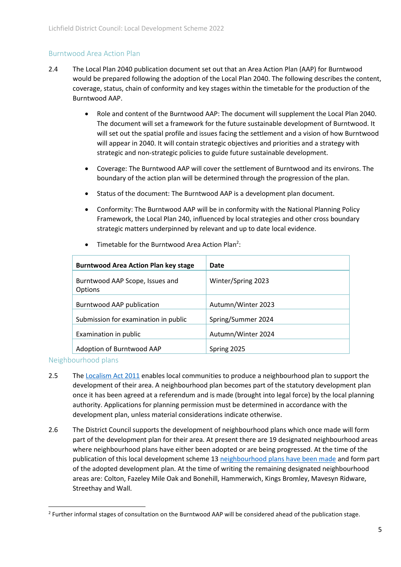#### <span id="page-5-0"></span>Burntwood Area Action Plan

- 2.4 The Local Plan 2040 publication document set out that an Area Action Plan (AAP) for Burntwood would be prepared following the adoption of the Local Plan 2040. The following describes the content, coverage, status, chain of conformity and key stages within the timetable for the production of the Burntwood AAP.
	- Role and content of the Burntwood AAP: The document will supplement the Local Plan 2040. The document will set a framework for the future sustainable development of Burntwood. It will set out the spatial profile and issues facing the settlement and a vision of how Burntwood will appear in 2040. It will contain strategic objectives and priorities and a strategy with strategic and non-strategic policies to guide future sustainable development.
	- Coverage: The Burntwood AAP will cover the settlement of Burntwood and its environs. The boundary of the action plan will be determined through the progression of the plan.
	- Status of the document: The Burntwood AAP is a development plan document.
	- Conformity: The Burntwood AAP will be in conformity with the National Planning Policy Framework, the Local Plan 240, influenced by local strategies and other cross boundary strategic matters underpinned by relevant and up to date local evidence.

| <b>Burntwood Area Action Plan key stage</b> | Date               |
|---------------------------------------------|--------------------|
| Burntwood AAP Scope, Issues and<br>Options  | Winter/Spring 2023 |
| Burntwood AAP publication                   | Autumn/Winter 2023 |
| Submission for examination in public        | Spring/Summer 2024 |
| Examination in public                       | Autumn/Winter 2024 |
| Adoption of Burntwood AAP                   | Spring 2025        |

• Timetable for the Burntwood Area Action Plan<sup>2</sup>:

<span id="page-5-1"></span>Neighbourhood plans

- 2.5 The [Localism Act 2011](https://www.legislation.gov.uk/ukpga/2011/20/contents/enacted) enables local communities to produce a neighbourhood plan to support the development of their area. A neighbourhood plan becomes part of the statutory development plan once it has been agreed at a referendum and is made (brought into legal force) by the local planning authority. Applications for planning permission must be determined in accordance with the development plan, unless material considerations indicate otherwise.
- 2.6 The District Council supports the development of neighbourhood plans which once made will form part of the development plan for their area. At present there are 19 designated neighbourhood areas where neighbourhood plans have either been adopted or are being progressed. At the time of the publication of this local development scheme 13 [neighbourhood plans have been made](https://www.lichfielddc.gov.uk/downloads/download/55/adopted-neighbourhood-plans) and form part of the adopted development plan. At the time of writing the remaining designated neighbourhood areas are: Colton, Fazeley Mile Oak and Bonehill, Hammerwich, Kings Bromley, Mavesyn Ridware, Streethay and Wall.

**<sup>.</sup>**  $2$  Further informal stages of consultation on the Burntwood AAP will be considered ahead of the publication stage.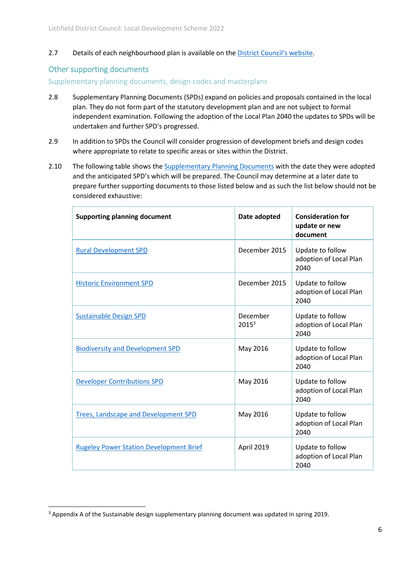2.7 Details of each neighbourhood plan is available on th[e District Council's website.](https://www.lichfielddc.gov.uk/neighbourhood-plans)

#### <span id="page-6-0"></span>Other supporting documents

**.** 

<span id="page-6-1"></span>Supplementary planning documents, design codes and masterplans

- 2.8 Supplementary Planning Documents (SPDs) expand on policies and proposals contained in the local plan. They do not form part of the statutory development plan and are not subject to formal independent examination. Following the adoption of the Local Plan 2040 the updates to SPDs will be undertaken and further SPD's progressed.
- 2.9 In addition to SPDs the Council will consider progression of development briefs and design codes where appropriate to relate to specific areas or sites within the District.
- 2.10 The following table shows the Supplementary Planning Documents with the date they were adopted and the anticipated SPD's which will be prepared. The Council may determine at a later date to prepare further supporting documents to those listed below and as such the list below should not be considered exhaustive:

| <b>Supporting planning document</b>            | Date adopted                  | <b>Consideration for</b><br>update or new<br>document |
|------------------------------------------------|-------------------------------|-------------------------------------------------------|
| <b>Rural Development SPD</b>                   | December 2015                 | Update to follow<br>adoption of Local Plan<br>2040    |
| <b>Historic Environment SPD</b>                | December 2015                 | Update to follow<br>adoption of Local Plan<br>2040    |
| <b>Sustainable Design SPD</b>                  | December<br>2015 <sup>3</sup> | Update to follow<br>adoption of Local Plan<br>2040    |
| <b>Biodiversity and Development SPD</b>        | May 2016                      | Update to follow<br>adoption of Local Plan<br>2040    |
| <b>Developer Contributions SPD</b>             | May 2016                      | Update to follow<br>adoption of Local Plan<br>2040    |
| Trees, Landscape and Development SPD           | May 2016                      | Update to follow<br>adoption of Local Plan<br>2040    |
| <b>Rugeley Power Station Development Brief</b> | April 2019                    | Update to follow<br>adoption of Local Plan<br>2040    |

<sup>&</sup>lt;sup>3</sup> Appendix A of the Sustainable design supplementary planning document was updated in spring 2019.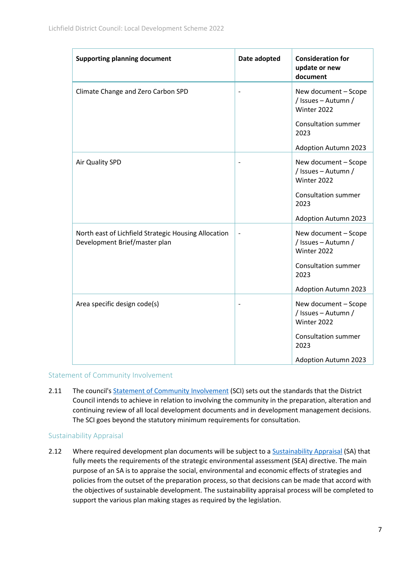| <b>Supporting planning document</b>                                                   | Date adopted             | <b>Consideration for</b><br>update or new<br>document      |
|---------------------------------------------------------------------------------------|--------------------------|------------------------------------------------------------|
| Climate Change and Zero Carbon SPD                                                    |                          | New document - Scope<br>/ Issues - Autumn /<br>Winter 2022 |
|                                                                                       |                          | <b>Consultation summer</b><br>2023                         |
|                                                                                       |                          | <b>Adoption Autumn 2023</b>                                |
| Air Quality SPD                                                                       |                          | New document - Scope<br>/ Issues - Autumn /<br>Winter 2022 |
|                                                                                       |                          | <b>Consultation summer</b><br>2023                         |
|                                                                                       |                          | <b>Adoption Autumn 2023</b>                                |
| North east of Lichfield Strategic Housing Allocation<br>Development Brief/master plan | $\overline{\phantom{a}}$ | New document - Scope<br>/ Issues - Autumn /<br>Winter 2022 |
|                                                                                       |                          | Consultation summer<br>2023                                |
|                                                                                       |                          | <b>Adoption Autumn 2023</b>                                |
| Area specific design code(s)                                                          | $\overline{\phantom{a}}$ | New document - Scope<br>/ Issues - Autumn /<br>Winter 2022 |
|                                                                                       |                          | <b>Consultation summer</b><br>2023                         |
|                                                                                       |                          | <b>Adoption Autumn 2023</b>                                |

#### <span id="page-7-0"></span>Statement of Community Involvement

2.11 The council's [Statement of Community Involvement](https://www.lichfielddc.gov.uk/local-plan/statement-community-involvement/1) (SCI) sets out the standards that the District Council intends to achieve in relation to involving the community in the preparation, alteration and continuing review of all local development documents and in development management decisions. The SCI goes beyond the statutory minimum requirements for consultation.

#### <span id="page-7-1"></span>Sustainability Appraisal

2.12 Where required development plan documents will be subject to [a Sustainability Appraisal](https://www.lichfielddc.gov.uk/local-plan/sustainability-appraisal/1) (SA) that fully meets the requirements of the strategic environmental assessment (SEA) directive. The main purpose of an SA is to appraise the social, environmental and economic effects of strategies and policies from the outset of the preparation process, so that decisions can be made that accord with the objectives of sustainable development. The sustainability appraisal process will be completed to support the various plan making stages as required by the legislation.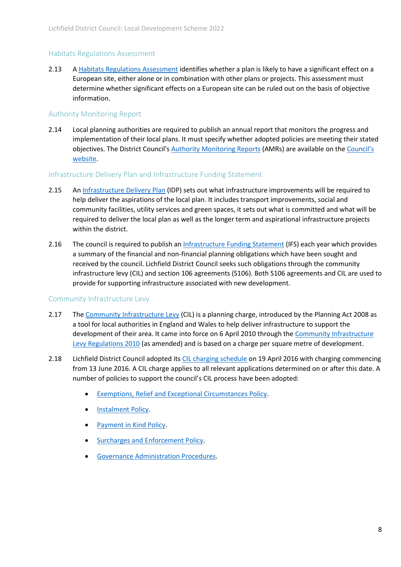#### <span id="page-8-0"></span>Habitats Regulations Assessment

2.13 A [Habitats Regulations Assessment](https://www.lichfielddc.gov.uk/downloads/download/179/habitat-regulations-assessment) identifies whether a plan is likely to have a significant effect on a European site, either alone or in combination with other plans or projects. This assessment must determine whether significant effects on a European site can be ruled out on the basis of objective information.

#### <span id="page-8-1"></span>Authority Monitoring Report

2.14 Local planning authorities are required to publish an annual report that monitors the progress and implementation of their local plans. It must specify whether adopted policies are meeting their stated objectives. The District Council's [Authority Monitoring Reports](https://www.lichfielddc.gov.uk/downloads/download/194/authority-monitoring-report) (AMRs) are available on the C[ouncil's](https://www.lichfielddc.gov.uk/downloads/download/194/authority-monitoring-report)  [website.](https://www.lichfielddc.gov.uk/downloads/download/194/authority-monitoring-report)

#### <span id="page-8-2"></span>Infrastructure Delivery Plan and Infrastructure Funding Statement

- 2.15 A[n Infrastructure Delivery Plan](https://www.lichfielddc.gov.uk/downloads/download/138/infrastructure-delivery-plan) (IDP) sets out what infrastructure improvements will be required to help deliver the aspirations of the local plan. It includes transport improvements, social and community facilities, utility services and green spaces, it sets out what is committed and what will be required to deliver the local plan as well as the longer term and aspirational infrastructure projects within the district.
- 2.16 The council is required to publish an [Infrastructure Funding Statement](https://www.lichfielddc.gov.uk/downloads/file/1777/infrastrucutre-funding-statement-2020) (IFS) each year which provides a summary of the financial and non-financial planning obligations which have been sought and received by the council. Lichfield District Council seeks such obligations through the community infrastructure levy (CIL) and section 106 agreements (S106). Both S106 agreements and CIL are used to provide for supporting infrastructure associated with new development.

#### <span id="page-8-3"></span>Community Infrastructure Levy

- 2.17 The [Community Infrastructure Levy](https://www.lichfielddc.gov.uk/planning-policy/planning-obligations-1/2) (CIL) is a planning charge, introduced by the Planning Act 2008 as a tool for local authorities in England and Wales to help deliver infrastructure to support the development of their area. It came into force on 6 April 2010 through the [Community Infrastructure](https://www.legislation.gov.uk/uksi/2010/948/contents/made)  [Levy Regulations 2010](https://www.legislation.gov.uk/uksi/2010/948/contents/made) (as amended) and is based on a charge per square metre of development.
- 2.18 Lichfield District Council adopted its [CIL charging schedule](https://www.lichfielddc.gov.uk/downloads/file/293/community-infrastructure-levy-charging-schedule) on 19 April 2016 with charging commencing from 13 June 2016. A CIL charge applies to all relevant applications determined on or after this date. A number of policies to support the council's CIL process have been adopted:
	- [Exemptions, Relief and Exceptional Circumstances Policy.](https://www.lichfielddc.gov.uk/downloads/file/299/community-infrastructure-levy-excemptions-relief-and-exceptional-circumstances-policy)
	- **•** [Instalment Policy.](https://www.lichfielddc.gov.uk/downloads/file/297/community-infrastructure-levy-instalments-policy)
	- [Payment in Kind Policy.](https://www.lichfielddc.gov.uk/downloads/file/295/community-infrastructure-levy-payment-in-kind-policy)
	- [Surcharges and Enforcement Policy.](https://www.lichfielddc.gov.uk/downloads/file/294/community-infrastructure-levy-procedure-note-surcharges-and-enforcement)
	- [Governance Administration Procedures.](https://www.lichfielddc.gov.uk/downloads/file/298/community-infrastructure-levy-governance-administration-procedures)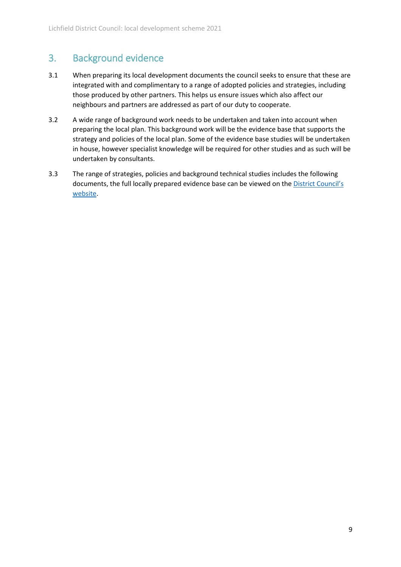## <span id="page-9-0"></span>3. Background evidence

- 3.1 When preparing its local development documents the council seeks to ensure that these are integrated with and complimentary to a range of adopted policies and strategies, including those produced by other partners. This helps us ensure issues which also affect our neighbours and partners are addressed as part of our duty to cooperate.
- 3.2 A wide range of background work needs to be undertaken and taken into account when preparing the local plan. This background work will be the evidence base that supports the strategy and policies of the local plan. Some of the evidence base studies will be undertaken in house, however specialist knowledge will be required for other studies and as such will be undertaken by consultants.
- 3.3 The range of strategies, policies and background technical studies includes the following documents, the full locally prepared evidence base can be viewed on the District Council's [website.](https://www.lichfielddc.gov.uk/homepage/85/evidence-base)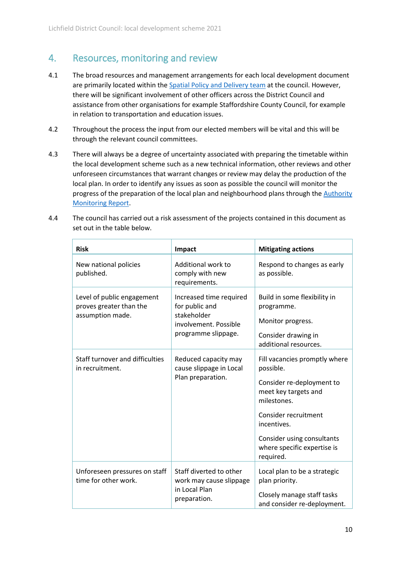### <span id="page-10-0"></span>4. Resources, monitoring and review

- 4.1 The broad resources and management arrangements for each local development document are primarily located within the [Spatial Policy and Delivery team](https://www.lichfielddc.gov.uk/planning-policy/contact-team-request-meetings/1) at the council. However, there will be significant involvement of other officers across the District Council and assistance from other organisations for example Staffordshire County Council, for example in relation to transportation and education issues.
- 4.2 Throughout the process the input from our elected members will be vital and this will be through the relevant council committees.
- 4.3 There will always be a degree of uncertainty associated with preparing the timetable within the local development scheme such as a new technical information, other reviews and other unforeseen circumstances that warrant changes or review may delay the production of the local plan. In order to identify any issues as soon as possible the council will monitor the progress of the preparation of the local plan and neighbourhood plans through the **Authority** [Monitoring Report.](https://www.lichfielddc.gov.uk/downloads/download/194/authority-monitoring-report)

| <b>Risk</b>                                                               | Impact                                                                                                   | <b>Mitigating actions</b>                                                                                                                                                                                                       |
|---------------------------------------------------------------------------|----------------------------------------------------------------------------------------------------------|---------------------------------------------------------------------------------------------------------------------------------------------------------------------------------------------------------------------------------|
| New national policies<br>published.                                       | Additional work to<br>comply with new<br>requirements.                                                   | Respond to changes as early<br>as possible.                                                                                                                                                                                     |
| Level of public engagement<br>proves greater than the<br>assumption made. | Increased time required<br>for public and<br>stakeholder<br>involvement. Possible<br>programme slippage. | Build in some flexibility in<br>programme.<br>Monitor progress.<br>Consider drawing in<br>additional resources.                                                                                                                 |
| Staff turnover and difficulties<br>in recruitment.                        | Reduced capacity may<br>cause slippage in Local<br>Plan preparation.                                     | Fill vacancies promptly where<br>possible.<br>Consider re-deployment to<br>meet key targets and<br>milestones.<br>Consider recruitment<br>incentives.<br>Consider using consultants<br>where specific expertise is<br>required. |
| Unforeseen pressures on staff<br>time for other work.                     | Staff diverted to other<br>work may cause slippage<br>in Local Plan<br>preparation.                      | Local plan to be a strategic<br>plan priority.<br>Closely manage staff tasks<br>and consider re-deployment.                                                                                                                     |

4.4 The council has carried out a risk assessment of the projects contained in this document as set out in the table below.